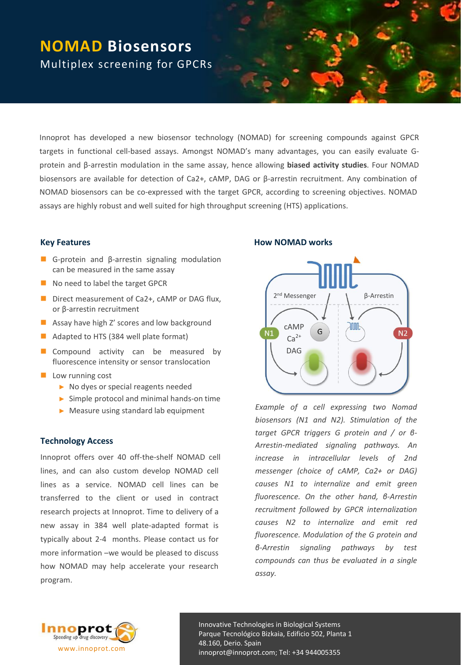# **NOMAD Biosensors** Multiplex screening for GPCRs

Innoprot has developed a new biosensor technology (NOMAD) for screening compounds against GPCR targets in functional cell-based assays. Amongst NOMAD's many advantages, you can easily evaluate Gprotein and β-arrestin modulation in the same assay, hence allowing **biased activity studies**. Four NOMAD biosensors are available for detection of Ca2+, cAMP, DAG or β-arrestin recruitment. Any combination of NOMAD biosensors can be co-expressed with the target GPCR, according to screening objectives. NOMAD assays are highly robust and well suited for high throughput screening (HTS) applications.

# **Key Features**

- G-protein and β-arrestin signaling modulation can be measured in the same assay
- No need to label the target GPCR
- Direct measurement of Ca2+, cAMP or DAG flux, or β-arrestin recruitment
- **Assay have high Z' scores and low background**
- Adapted to HTS (384 well plate format)
- Compound activity can be measured by fluorescence intensity or sensor translocation
- $\blacksquare$  Low running cost
	- ► No dyes or special reagents needed
	- ► Simple protocol and minimal hands-on time
	- ► Measure using standard lab equipment

## **Technology Access**

Innoprot offers over 40 off-the-shelf NOMAD cell lines, and can also custom develop NOMAD cell lines as a service. NOMAD cell lines can be transferred to the client or used in contract research projects at Innoprot. Time to delivery of a new assay in 384 well plate-adapted format is typically about 2-4 months. Please contact us for more information –we would be pleased to discuss how NOMAD may help accelerate your research program.

#### **How NOMAD works**



*Example of a cell expressing two Nomad biosensors (N1 and N2). Stimulation of the target GPCR triggers G protein and / or β-Arrestin-mediated signaling pathways. An increase in intracellular levels of 2nd messenger (choice of cAMP, Ca2+ or DAG) causes N1 to internalize and emit green fluorescence. On the other hand, β-Arrestin recruitment followed by GPCR internalization causes N2 to internalize and emit red fluorescence. Modulation of the G protein and β-Arrestin signaling pathways by test compounds can thus be evaluated in a single assay.*



Innovative Technologies in Biological Systems Parque Tecnológico Bizkaia, Edificio 502, Planta 1 48.160, Derio. Spain innoprot@innoprot.com; Tel: +34 944005355